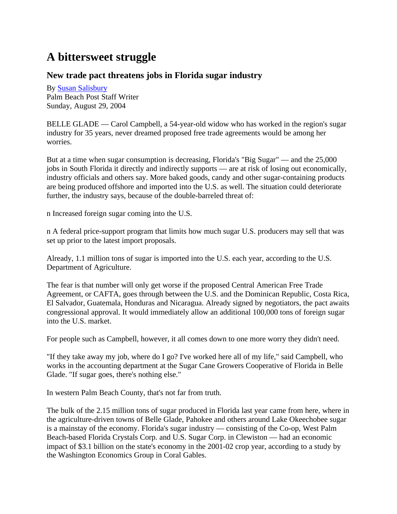## **A bittersweet struggle**

## **New trade pact threatens jobs in Florida sugar industry**

By Susan Salisbury Palm Beach Post Staff Writer Sunday, August 29, 2004

BELLE GLADE — Carol Campbell, a 54-year-old widow who has worked in the region's sugar industry for 35 years, never dreamed proposed free trade agreements would be among her worries.

But at a time when sugar consumption is decreasing, Florida's "Big Sugar" — and the 25,000 jobs in South Florida it directly and indirectly supports — are at risk of losing out economically, industry officials and others say. More baked goods, candy and other sugar-containing products are being produced offshore and imported into the U.S. as well. The situation could deteriorate further, the industry says, because of the double-barreled threat of:

n Increased foreign sugar coming into the U.S.

n A federal price-support program that limits how much sugar U.S. producers may sell that was set up prior to the latest import proposals.

Already, 1.1 million tons of sugar is imported into the U.S. each year, according to the U.S. Department of Agriculture.

The fear is that number will only get worse if the proposed Central American Free Trade Agreement, or CAFTA, goes through between the U.S. and the Dominican Republic, Costa Rica, El Salvador, Guatemala, Honduras and Nicaragua. Already signed by negotiators, the pact awaits congressional approval. It would immediately allow an additional 100,000 tons of foreign sugar into the U.S. market.

For people such as Campbell, however, it all comes down to one more worry they didn't need.

"If they take away my job, where do I go? I've worked here all of my life," said Campbell, who works in the accounting department at the Sugar Cane Growers Cooperative of Florida in Belle Glade. "If sugar goes, there's nothing else."

In western Palm Beach County, that's not far from truth.

The bulk of the 2.15 million tons of sugar produced in Florida last year came from here, where in the agriculture-driven towns of Belle Glade, Pahokee and others around Lake Okeechobee sugar is a mainstay of the economy. Florida's sugar industry — consisting of the Co-op, West Palm Beach-based Florida Crystals Corp. and U.S. Sugar Corp. in Clewiston — had an economic impact of \$3.1 billion on the state's economy in the 2001-02 crop year, according to a study by the Washington Economics Group in Coral Gables.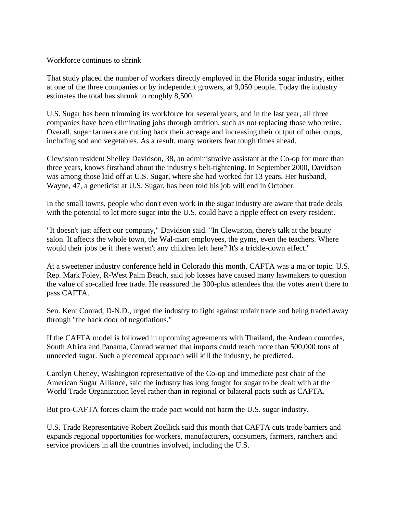Workforce continues to shrink

That study placed the number of workers directly employed in the Florida sugar industry, either at one of the three companies or by independent growers, at 9,050 people. Today the industry estimates the total has shrunk to roughly 8,500.

U.S. Sugar has been trimming its workforce for several years, and in the last year, all three companies have been eliminating jobs through attrition, such as not replacing those who retire. Overall, sugar farmers are cutting back their acreage and increasing their output of other crops, including sod and vegetables. As a result, many workers fear tough times ahead.

Clewiston resident Shelley Davidson, 38, an administrative assistant at the Co-op for more than three years, knows firsthand about the industry's belt-tightening. In September 2000, Davidson was among those laid off at U.S. Sugar, where she had worked for 13 years. Her husband, Wayne, 47, a geneticist at U.S. Sugar, has been told his job will end in October.

In the small towns, people who don't even work in the sugar industry are aware that trade deals with the potential to let more sugar into the U.S. could have a ripple effect on every resident.

"It doesn't just affect our company," Davidson said. "In Clewiston, there's talk at the beauty salon. It affects the whole town, the Wal-mart employees, the gyms, even the teachers. Where would their jobs be if there weren't any children left here? It's a trickle-down effect."

At a sweetener industry conference held in Colorado this month, CAFTA was a major topic. U.S. Rep. Mark Foley, R-West Palm Beach, said job losses have caused many lawmakers to question the value of so-called free trade. He reassured the 300-plus attendees that the votes aren't there to pass CAFTA.

Sen. Kent Conrad, D-N.D., urged the industry to fight against unfair trade and being traded away through "the back door of negotiations."

If the CAFTA model is followed in upcoming agreements with Thailand, the Andean countries, South Africa and Panama, Conrad warned that imports could reach more than 500,000 tons of unneeded sugar. Such a piecemeal approach will kill the industry, he predicted.

Carolyn Cheney, Washington representative of the Co-op and immediate past chair of the American Sugar Alliance, said the industry has long fought for sugar to be dealt with at the World Trade Organization level rather than in regional or bilateral pacts such as CAFTA.

But pro-CAFTA forces claim the trade pact would not harm the U.S. sugar industry.

U.S. Trade Representative Robert Zoellick said this month that CAFTA cuts trade barriers and expands regional opportunities for workers, manufacturers, consumers, farmers, ranchers and service providers in all the countries involved, including the U.S.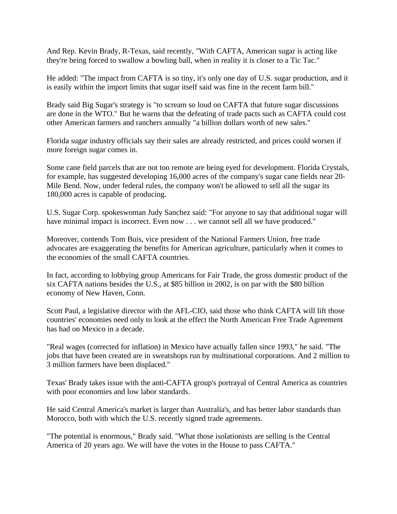And Rep. Kevin Brady, R-Texas, said recently, "With CAFTA, American sugar is acting like they're being forced to swallow a bowling ball, when in reality it is closer to a Tic Tac."

He added: "The impact from CAFTA is so tiny, it's only one day of U.S. sugar production, and it is easily within the import limits that sugar itself said was fine in the recent farm bill."

Brady said Big Sugar's strategy is "to scream so loud on CAFTA that future sugar discussions are done in the WTO." But he warns that the defeating of trade pacts such as CAFTA could cost other American farmers and ranchers annually "a billion dollars worth of new sales."

Florida sugar industry officials say their sales are already restricted, and prices could worsen if more foreign sugar comes in.

Some cane field parcels that are not too remote are being eyed for development. Florida Crystals, for example, has suggested developing 16,000 acres of the company's sugar cane fields near 20- Mile Bend. Now, under federal rules, the company won't be allowed to sell all the sugar its 180,000 acres is capable of producing.

U.S. Sugar Corp. spokeswoman Judy Sanchez said: "For anyone to say that additional sugar will have minimal impact is incorrect. Even now . . . we cannot sell all we have produced."

Moreover, contends Tom Buis, vice president of the National Farmers Union, free trade advocates are exaggerating the benefits for American agriculture, particularly when it comes to the economies of the small CAFTA countries.

In fact, according to lobbying group Americans for Fair Trade, the gross domestic product of the six CAFTA nations besides the U.S., at \$85 billion in 2002, is on par with the \$80 billion economy of New Haven, Conn.

Scott Paul, a legislative director with the AFL-CIO, said those who think CAFTA will lift those countries' economies need only to look at the effect the North American Free Trade Agreement has had on Mexico in a decade.

"Real wages (corrected for inflation) in Mexico have actually fallen since 1993," he said. "The jobs that have been created are in sweatshops run by multinational corporations. And 2 million to 3 million farmers have been displaced."

Texas' Brady takes issue with the anti-CAFTA group's portrayal of Central America as countries with poor economies and low labor standards.

He said Central America's market is larger than Australia's, and has better labor standards than Morocco, both with which the U.S. recently signed trade agreements.

"The potential is enormous," Brady said. "What those isolationists are selling is the Central America of 20 years ago. We will have the votes in the House to pass CAFTA."